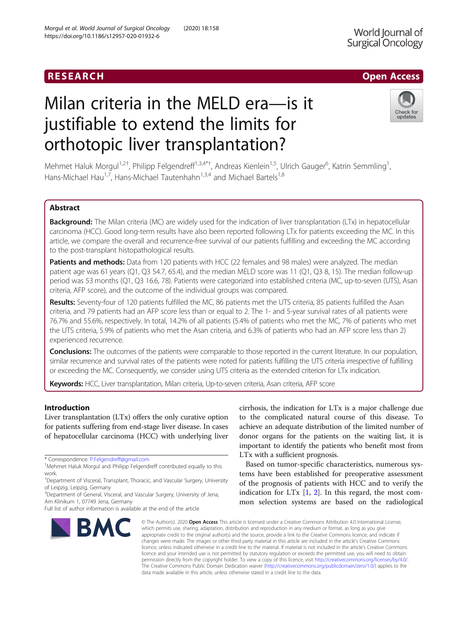## **RESEARCH CHILD CONTROL** CONTROL CONTROL CONTROL CONTROL CONTROL CONTROL CONTROL CONTROL CONTROL CONTROL CONTROL

# Milan criteria in the MELD era—is it justifiable to extend the limits for orthotopic liver transplantation?

Mehmet Haluk Morgul<sup>1,2†</sup>, Philipp Felgendreff<sup>1,3,4\*†</sup>, Andreas Kienlein<sup>1,5</sup>, Ulrich Gauger<sup>6</sup>, Katrin Semmling<sup>1</sup> , Hans-Michael Hau<sup>1,7</sup>, Hans-Michael Tautenhahn<sup>1,3,4</sup> and Michael Bartels<sup>1,8</sup>

## Abstract

Background: The Milan criteria (MC) are widely used for the indication of liver transplantation (LTx) in hepatocellular carcinoma (HCC). Good long-term results have also been reported following LTx for patients exceeding the MC. In this article, we compare the overall and recurrence-free survival of our patients fulfilling and exceeding the MC according to the post-transplant histopathological results.

Patients and methods: Data from 120 patients with HCC (22 females and 98 males) were analyzed. The median patient age was 61 years (Q1, Q3 54.7, 65.4), and the median MELD score was 11 (Q1, Q3 8, 15). The median follow-up period was 53 months (Q1, Q3 16.6, 78). Patients were categorized into established criteria (MC, up-to-seven (UTS), Asan criteria, AFP score), and the outcome of the individual groups was compared.

Results: Seventy-four of 120 patients fulfilled the MC, 86 patients met the UTS criteria, 85 patients fulfilled the Asan criteria, and 79 patients had an AFP score less than or equal to 2. The 1- and 5-year survival rates of all patients were 76.7% and 55.6%, respectively. In total, 14.2% of all patients (5.4% of patients who met the MC, 7% of patients who met the UTS criteria, 5.9% of patients who met the Asan criteria, and 6.3% of patients who had an AFP score less than 2) experienced recurrence.

**Conclusions:** The outcomes of the patients were comparable to those reported in the current literature. In our population, similar recurrence and survival rates of the patients were noted for patients fulfilling the UTS criteria irrespective of fulfilling or exceeding the MC. Consequently, we consider using UTS criteria as the extended criterion for LTx indication.

Keywords: HCC, Liver transplantation, Milan criteria, Up-to-seven criteria, Asan criteria, AFP score

Introduction

Liver transplantation (LTx) offers the only curative option for patients suffering from end-stage liver disease. In cases of hepatocellular carcinoma (HCC) with underlying liver

\* Correspondence: [P.Felgendreff@gmail.com](mailto:P.Felgendreff@gmail.com) †

Full list of author information is available at the end of the article



cirrhosis, the indication for LTx is a major challenge due to the complicated natural course of this disease. To achieve an adequate distribution of the limited number of donor organs for the patients on the waiting list, it is important to identify the patients who benefit most from LTx with a sufficient prognosis.

Based on tumor-specific characteristics, numerous systems have been established for preoperative assessment of the prognosis of patients with HCC and to verify the indication for LT $x$  [[1,](#page-6-0) [2](#page-6-0)]. In this regard, the most common selection systems are based on the radiological

© The Author(s), 2020 **Open Access** This article is licensed under a Creative Commons Attribution 4.0 International License, which permits use, sharing, adaptation, distribution and reproduction in any medium or format, as long as you give appropriate credit to the original author(s) and the source, provide a link to the Creative Commons licence, and indicate if changes were made. The images or other third party material in this article are included in the article's Creative Commons licence, unless indicated otherwise in a credit line to the material. If material is not included in the article's Creative Commons licence and your intended use is not permitted by statutory regulation or exceeds the permitted use, you will need to obtain permission directly from the copyright holder. To view a copy of this licence, visit [http://creativecommons.org/licenses/by/4.0/.](http://creativecommons.org/licenses/by/4.0/) The Creative Commons Public Domain Dedication waiver [\(http://creativecommons.org/publicdomain/zero/1.0/](http://creativecommons.org/publicdomain/zero/1.0/)) applies to the data made available in this article, unless otherwise stated in a credit line to the data.

World Journal of Surgical Oncology



Mehmet Haluk Morgul and Philipp Felgendreff contributed equally to this work.

<sup>&</sup>lt;sup>1</sup>Department of Visceral, Transplant, Thoracic, and Vascular Surgery, University of Leipzig, Leipzig, Germany

<sup>&</sup>lt;sup>3</sup>Department of General, Visceral, and Vascular Surgery, University of Jena, Am Klinikum 1, 07749 Jena, Germany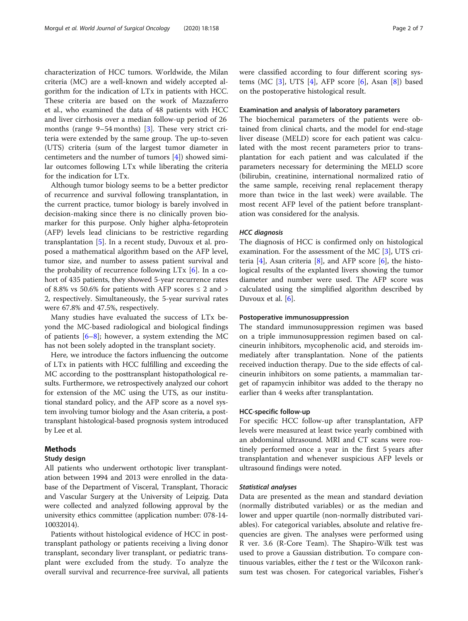characterization of HCC tumors. Worldwide, the Milan criteria (MC) are a well-known and widely accepted algorithm for the indication of LTx in patients with HCC. These criteria are based on the work of Mazzaferro et al., who examined the data of 48 patients with HCC and liver cirrhosis over a median follow-up period of 26 months (range 9–54 months) [\[3](#page-6-0)]. These very strict criteria were extended by the same group. The up-to-seven (UTS) criteria (sum of the largest tumor diameter in centimeters and the number of tumors [\[4](#page-6-0)]) showed similar outcomes following LTx while liberating the criteria for the indication for LTx.

Although tumor biology seems to be a better predictor of recurrence and survival following transplantation, in the current practice, tumor biology is barely involved in decision-making since there is no clinically proven biomarker for this purpose. Only higher alpha-fetoprotein (AFP) levels lead clinicians to be restrictive regarding transplantation [[5\]](#page-6-0). In a recent study, Duvoux et al. proposed a mathematical algorithm based on the AFP level, tumor size, and number to assess patient survival and the probability of recurrence following LTx [[6\]](#page-6-0). In a cohort of 435 patients, they showed 5-year recurrence rates of 8.8% vs 50.6% for patients with AFP scores  $\leq 2$  and  $>$ 2, respectively. Simultaneously, the 5-year survival rates were 67.8% and 47.5%, respectively.

Many studies have evaluated the success of LTx beyond the MC-based radiological and biological findings of patients  $[6-8]$  $[6-8]$  $[6-8]$ ; however, a system extending the MC has not been solely adopted in the transplant society.

Here, we introduce the factors influencing the outcome of LTx in patients with HCC fulfilling and exceeding the MC according to the posttransplant histopathological results. Furthermore, we retrospectively analyzed our cohort for extension of the MC using the UTS, as our institutional standard policy, and the AFP score as a novel system involving tumor biology and the Asan criteria, a posttransplant histological-based prognosis system introduced by Lee et al.

## Methods

## Study design

All patients who underwent orthotopic liver transplantation between 1994 and 2013 were enrolled in the database of the Department of Visceral, Transplant, Thoracic and Vascular Surgery at the University of Leipzig. Data were collected and analyzed following approval by the university ethics committee (application number: 078-14- 10032014).

Patients without histological evidence of HCC in posttransplant pathology or patients receiving a living donor transplant, secondary liver transplant, or pediatric transplant were excluded from the study. To analyze the overall survival and recurrence-free survival, all patients were classified according to four different scoring systems (MC  $[3]$  $[3]$ , UTS  $[4]$  $[4]$ , AFP score  $[6]$  $[6]$  $[6]$ , Asan  $[8]$  $[8]$ ) based on the postoperative histological result.

## Examination and analysis of laboratory parameters

The biochemical parameters of the patients were obtained from clinical charts, and the model for end-stage liver disease (MELD) score for each patient was calculated with the most recent parameters prior to transplantation for each patient and was calculated if the parameters necessary for determining the MELD score (bilirubin, creatinine, international normalized ratio of the same sample, receiving renal replacement therapy more than twice in the last week) were available. The most recent AFP level of the patient before transplantation was considered for the analysis.

#### HCC diagnosis

The diagnosis of HCC is confirmed only on histological examination. For the assessment of the MC [[3](#page-6-0)], UTS criteria [[4\]](#page-6-0), Asan criteria [\[8](#page-6-0)], and AFP score [[6\]](#page-6-0), the histological results of the explanted livers showing the tumor diameter and number were used. The AFP score was calculated using the simplified algorithm described by Duvoux et al. [[6](#page-6-0)].

## Postoperative immunosuppression

The standard immunosuppression regimen was based on a triple immunosuppression regimen based on calcineurin inhibitors, mycophenolic acid, and steroids immediately after transplantation. None of the patients received induction therapy. Due to the side effects of calcineurin inhibitors on some patients, a mammalian target of rapamycin inhibitor was added to the therapy no earlier than 4 weeks after transplantation.

## HCC-specific follow-up

For specific HCC follow-up after transplantation, AFP levels were measured at least twice yearly combined with an abdominal ultrasound. MRI and CT scans were routinely performed once a year in the first 5 years after transplantation and whenever suspicious AFP levels or ultrasound findings were noted.

## Statistical analyses

Data are presented as the mean and standard deviation (normally distributed variables) or as the median and lower and upper quartile (non-normally distributed variables). For categorical variables, absolute and relative frequencies are given. The analyses were performed using R ver. 3.6 (R-Core Team). The Shapiro-Wilk test was used to prove a Gaussian distribution. To compare continuous variables, either the  $t$  test or the Wilcoxon ranksum test was chosen. For categorical variables, Fisher's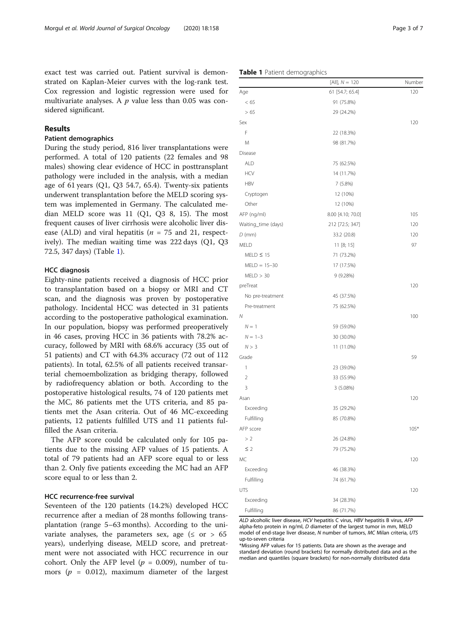exact test was carried out. Patient survival is demonstrated on Kaplan-Meier curves with the log-rank test. Cox regression and logistic regression were used for multivariate analyses. A  $p$  value less than 0.05 was considered significant.

## Results

## Patient demographics

During the study period, 816 liver transplantations were performed. A total of 120 patients (22 females and 98 males) showing clear evidence of HCC in posttransplant pathology were included in the analysis, with a median age of 61 years  $(Q1, Q3 54.7, 65.4)$ . Twenty-six patients underwent transplantation before the MELD scoring system was implemented in Germany. The calculated median MELD score was 11 (Q1, Q3 8, 15). The most frequent causes of liver cirrhosis were alcoholic liver disease (ALD) and viral hepatitis ( $n = 75$  and 21, respectively). The median waiting time was 222 days (Q1, Q3 72.5, 347 days) (Table 1).

## HCC diagnosis

Eighty-nine patients received a diagnosis of HCC prior to transplantation based on a biopsy or MRI and CT scan, and the diagnosis was proven by postoperative pathology. Incidental HCC was detected in 31 patients according to the postoperative pathological examination. In our population, biopsy was performed preoperatively in 46 cases, proving HCC in 36 patients with 78.2% accuracy, followed by MRI with 68.6% accuracy (35 out of 51 patients) and CT with 64.3% accuracy (72 out of 112 patients). In total, 62.5% of all patients received transarterial chemoembolization as bridging therapy, followed by radiofrequency ablation or both. According to the postoperative histological results, 74 of 120 patients met the MC, 86 patients met the UTS criteria, and 85 patients met the Asan criteria. Out of 46 MC-exceeding patients, 12 patients fulfilled UTS and 11 patients fulfilled the Asan criteria.

The AFP score could be calculated only for 105 patients due to the missing AFP values of 15 patients. A total of 79 patients had an AFP score equal to or less than 2. Only five patients exceeding the MC had an AFP score equal to or less than 2.

## HCC recurrence-free survival

Seventeen of the 120 patients (14.2%) developed HCC recurrence after a median of 28 months following transplantation (range 5–63 months). According to the univariate analyses, the parameters sex, age ( $\leq$  or  $> 65$ years), underlying disease, MELD score, and pretreatment were not associated with HCC recurrence in our cohort. Only the AFP level ( $p = 0.009$ ), number of tumors ( $p = 0.012$ ), maximum diameter of the largest

|             | $[All], N = 120$  | Number |
|-------------|-------------------|--------|
| Age         | 61 [54.7; 65.4]   | 120    |
| < 65        | 91 (75.8%)        |        |
| > 65        | 29 (24.2%)        |        |
| Sex         |                   | 120    |
| F           | 22 (18.3%)        |        |
| M           | 98 (81.7%)        |        |
| Disease     |                   |        |
| <b>ALD</b>  | 75 (62.5%)        |        |
| <b>HCV</b>  | 14 (11.7%)        |        |
| <b>HBV</b>  | 7(5.8%)           |        |
| Cryptogen   | 12 (10%)          |        |
| Other       | 12 (10%)          |        |
| AFP (ng/ml) | 8.00 [4.10; 70.0] | 105    |

| Cryptogen           | 12 (10%)          |        |
|---------------------|-------------------|--------|
| Other               | 12 (10%)          |        |
| AFP (ng/ml)         | 8.00 [4.10; 70.0] | 105    |
| Waiting_time (days) | 212 [72.5; 347]   | 120    |
| $D$ (mm)            | 33.2 (20.8)       | 120    |
| MELD                | 11 [8; 15]        | 97     |
| $MELD \leq 15$      | 71 (73.2%)        |        |
| $MELD = 15-30$      | 17 (17.5%)        |        |
| MELD > 30           | 9 (9.28%)         |        |
| preTreat            |                   | 120    |
| No pre-treatment    | 45 (37.5%)        |        |
| Pre-treatment       | 75 (62.5%)        |        |
| $\mathcal N$        |                   | 100    |
| $N = 1$             | 59 (59.0%)        |        |
| $N = 1 - 3$         | 30 (30.0%)        |        |
| N > 3               | 11 (11.0%)        |        |
| Grade               |                   | 59     |
| 1                   | 23 (39.0%)        |        |
| $\overline{2}$      | 33 (55.9%)        |        |
| 3                   | 3(5.08%)          |        |
| Asan                |                   | 120    |
| Exceeding           | 35 (29.2%)        |        |
| Fulfilling          | 85 (70.8%)        |        |
| AFP score           |                   | $105*$ |
| >2                  | 26 (24.8%)        |        |
| $\leq$ 2            | 79 (75.2%)        |        |
| <b>MC</b>           |                   | 120    |
| Exceeding           | 46 (38.3%)        |        |
| Fulfilling          | 74 (61.7%)        |        |
| <b>UTS</b>          |                   | 120    |
| Exceeding           | 34 (28.3%)        |        |
| Fulfilling          | 86 (71.7%)        |        |

ALD alcoholic liver disease, HCV hepatitis C virus, HBV hepatitis B virus, AFP alpha-feto protein in ng/ml, D diameter of the largest tumor in mm, MELD model of end-stage liver disease, N number of tumors, MC Milan criteria, UTS up-to-seven criteria

\*Missing AFP values for 15 patients. Data are shown as the average and standard deviation (round brackets) for normally distributed data and as the median and quantiles (square brackets) for non-normally distributed data

#### Table 1 Patient demographics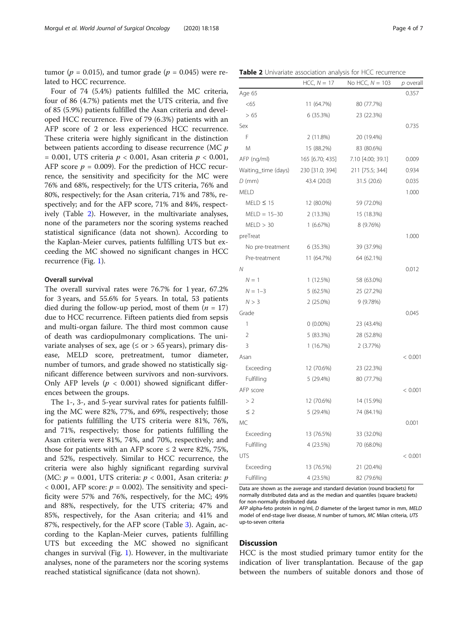tumor ( $p = 0.015$ ), and tumor grade ( $p = 0.045$ ) were related to HCC recurrence.

Four of 74 (5.4%) patients fulfilled the MC criteria, four of 86 (4.7%) patients met the UTS criteria, and five of 85 (5.9%) patients fulfilled the Asan criteria and developed HCC recurrence. Five of 79 (6.3%) patients with an AFP score of 2 or less experienced HCC recurrence. These criteria were highly significant in the distinction between patients according to disease recurrence (MC p  $= 0.001$ , UTS criteria  $p < 0.001$ , Asan criteria  $p < 0.001$ , AFP score  $p = 0.009$ ). For the prediction of HCC recurrence, the sensitivity and specificity for the MC were 76% and 68%, respectively; for the UTS criteria, 76% and 80%, respectively; for the Asan criteria, 71% and 78%, respectively; and for the AFP score, 71% and 84%, respectively (Table 2). However, in the multivariate analyses, none of the parameters nor the scoring systems reached statistical significance (data not shown). According to the Kaplan-Meier curves, patients fulfilling UTS but exceeding the MC showed no significant changes in HCC recurrence (Fig. [1\)](#page-4-0).

## Overall survival

The overall survival rates were 76.7% for 1 year, 67.2% for 3 years, and 55.6% for 5 years. In total, 53 patients died during the follow-up period, most of them  $(n = 17)$ due to HCC recurrence. Fifteen patients died from sepsis and multi-organ failure. The third most common cause of death was cardiopulmonary complications. The univariate analyses of sex, age ( $\leq$  or  $>$  65 years), primary disease, MELD score, pretreatment, tumor diameter, number of tumors, and grade showed no statistically significant difference between survivors and non-survivors. Only AFP levels ( $p < 0.001$ ) showed significant differences between the groups.

The 1-, 3-, and 5-year survival rates for patients fulfilling the MC were 82%, 77%, and 69%, respectively; those for patients fulfilling the UTS criteria were 81%, 76%, and 71%, respectively; those for patients fulfilling the Asan criteria were 81%, 74%, and 70%, respectively; and those for patients with an AFP score  $\leq$  2 were 82%, 75%, and 52%, respectively. Similar to HCC recurrence, the criteria were also highly significant regarding survival (MC:  $p = 0.001$ , UTS criteria:  $p < 0.001$ , Asan criteria: p  $<$  0.001, AFP score:  $p = 0.002$ ). The sensitivity and specificity were 57% and 76%, respectively, for the MC; 49% and 88%, respectively, for the UTS criteria; 47% and 85%, respectively, for the Asan criteria; and 41% and 87%, respectively, for the AFP score (Table [3\)](#page-4-0). Again, according to the Kaplan-Meier curves, patients fulfilling UTS but exceeding the MC showed no significant changes in survival (Fig. [1\)](#page-4-0). However, in the multivariate analyses, none of the parameters nor the scoring systems reached statistical significance (data not shown).

Table 2 Univariate association analysis for HCC recurrence

|                     | $HCC, N = 17$   | No HCC, $N = 103$ | $p$ overall |
|---------------------|-----------------|-------------------|-------------|
| Age 65              |                 |                   | 0.357       |
| <65                 | 11 (64.7%)      | 80 (77.7%)        |             |
| > 65                | 6(35.3%)        | 23 (22.3%)        |             |
| Sex                 |                 |                   | 0.735       |
| F                   | 2(11.8%)        | 20 (19.4%)        |             |
| M                   | 15 (88.2%)      | 83 (80.6%)        |             |
| AFP (ng/ml)         | 165 [6.70; 435] | 7.10 [4.00; 39.1] | 0.009       |
| Waiting_time (days) | 230 [31.0; 394] | 211 [75.5; 344]   | 0.934       |
| $D$ (mm)            | 43.4 (20.0)     | 31.5 (20.6)       | 0.035       |
| <b>MELD</b>         |                 |                   | 1.000       |
| $MELD \leq 15$      | 12 (80.0%)      | 59 (72.0%)        |             |
| $MELD = 15 - 30$    | 2(13.3%)        | 15 (18.3%)        |             |
| MELD > 30           | 1(6.67%)        | 8 (9.76%)         |             |
| preTreat            |                 |                   | 1.000       |
| No pre-treatment    | 6 (35.3%)       | 39 (37.9%)        |             |
| Pre-treatment       | 11 (64.7%)      | 64 (62.1%)        |             |
| N                   |                 |                   | 0.012       |
| $N = 1$             | 1(12.5%)        | 58 (63.0%)        |             |
| $N = 1-3$           | 5(62.5%)        | 25 (27.2%)        |             |
| N > 3               | $2(25.0\%)$     | 9 (9.78%)         |             |
| Grade               |                 |                   | 0.045       |
| $\mathbf{1}$        | $0(0.00\%)$     | 23 (43.4%)        |             |
| $\overline{2}$      | 5 (83.3%)       | 28 (52.8%)        |             |
| 3                   | 1(16.7%)        | 2(3.77%)          |             |
| Asan                |                 |                   | < 0.001     |
| Exceeding           | 12 (70.6%)      | 23 (22.3%)        |             |
| Fulfilling          | 5 (29.4%)       | 80 (77.7%)        |             |
| AFP score           |                 |                   | < 0.001     |
| >2                  | 12 (70.6%)      | 14 (15.9%)        |             |
| $\leq$ 2            | 5 (29.4%)       | 74 (84.1%)        |             |
| МC                  |                 |                   | 0.001       |
| Exceeding           | 13 (76.5%)      | 33 (32.0%)        |             |
| Fulfilling          | 4 (23.5%)       | 70 (68.0%)        |             |
| <b>UTS</b>          |                 |                   | < 0.001     |
| Exceeding           | 13 (76.5%)      | 21 (20.4%)        |             |
| Fulfilling          | 4 (23.5%)       | 82 (79.6%)        |             |

Data are shown as the average and standard deviation (round brackets) for normally distributed data and as the median and quantiles (square brackets) for non-normally distributed data

AFP alpha-feto protein in ng/ml, D diameter of the largest tumor in mm, MELD model of end-stage liver disease, N number of tumors, MC Milan criteria, UTS up-to-seven criteria

## **Discussion**

HCC is the most studied primary tumor entity for the indication of liver transplantation. Because of the gap between the numbers of suitable donors and those of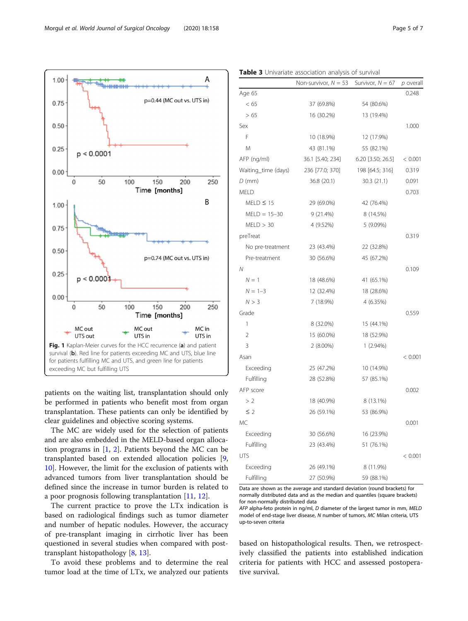<span id="page-4-0"></span>

patients on the waiting list, transplantation should only be performed in patients who benefit most from organ transplantation. These patients can only be identified by clear guidelines and objective scoring systems.

The MC are widely used for the selection of patients and are also embedded in the MELD-based organ allocation programs in [[1,](#page-6-0) [2](#page-6-0)]. Patients beyond the MC can be transplanted based on extended allocation policies [\[9](#page-6-0), [10\]](#page-6-0). However, the limit for the exclusion of patients with advanced tumors from liver transplantation should be defined since the increase in tumor burden is related to a poor prognosis following transplantation [\[11,](#page-6-0) [12\]](#page-6-0).

The current practice to prove the LTx indication is based on radiological findings such as tumor diameter and number of hepatic nodules. However, the accuracy of pre-transplant imaging in cirrhotic liver has been questioned in several studies when compared with posttransplant histopathology [[8,](#page-6-0) [13\]](#page-6-0).

To avoid these problems and to determine the real tumor load at the time of LTx, we analyzed our patients

|                     | Non-survivor, $N = 53$ | Survivor, $N = 67$ | $p$ overal |
|---------------------|------------------------|--------------------|------------|
| Age 65              |                        |                    | 0.248      |
| < 65                | 37 (69.8%)             | 54 (80.6%)         |            |
| > 65                | 16 (30.2%)             | 13 (19.4%)         |            |
| Sex                 |                        |                    | 1.000      |
| F                   | 10 (18.9%)             | 12 (17.9%)         |            |
| M                   | 43 (81.1%)             | 55 (82.1%)         |            |
| AFP (ng/ml)         | 36.1 [5.40; 234]       | 6.20 [3.50; 26.5]  | < 0.001    |
| Waiting_time (days) | 236 [77.0; 370]        | 198 [64.5; 316]    | 0.319      |
| $D$ (mm)            | 36.8 (20.1)            | 30.3(21.1)         | 0.091      |
| <b>MELD</b>         |                        |                    | 0.703      |
| $MELD \leq 15$      | 29 (69.0%)             | 42 (76.4%)         |            |
| $MELD = 15-30$      | $9(21.4\%)$            | 8 (14.5%)          |            |
| MELD > 30           | 4 (9.52%)              | 5 (9.09%)          |            |
| preTreat            |                        |                    | 0.319      |
| No pre-treatment    | 23 (43.4%)             | 22 (32.8%)         |            |
| Pre-treatment       | 30 (56.6%)             | 45 (67.2%)         |            |
| Ν                   |                        |                    | 0.109      |
| $N = 1$             | 18 (48.6%)             | 41 (65.1%)         |            |
| $N = 1-3$           | 12 (32.4%)             | 18 (28.6%)         |            |
| N > 3               | 7 (18.9%)              | 4 (6.35%)          |            |
| Grade               |                        |                    | 0.559      |
| 1                   | 8 (32.0%)              | 15 (44.1%)         |            |
| $\overline{2}$      | 15 (60.0%)             | 18 (52.9%)         |            |
| 3                   | $2(8.00\%)$            | $1(2.94\%)$        |            |
| Asan                |                        |                    | < 0.001    |
| Exceeding           | 25 (47.2%)             | 10 (14.9%)         |            |
| Fulfilling          | 28 (52.8%)             | 57 (85.1%)         |            |
| AFP score           |                        |                    | 0.002      |
| >2                  | 18 (40.9%)             | 8 (13.1%)          |            |
| $\leq$ 2            | 26 (59.1%)             | 53 (86.9%)         |            |
| МC                  |                        |                    | 0.001      |
| Exceeding           | 30 (56.6%)             | 16 (23.9%)         |            |
| Fulfilling          | 23 (43.4%)             | 51 (76.1%)         |            |
| <b>UTS</b>          |                        |                    | < 0.001    |
| Exceeding           | 26 (49.1%)             | 8 (11.9%)          |            |
| Fulfilling          | 27 (50.9%)             | 59 (88.1%)         |            |

Table 3 Univariate association analysis of survival

Data are shown as the average and standard deviation (round brackets) for normally distributed data and as the median and quantiles (square brackets) for non-normally distributed data

AFP alpha-feto protein in ng/ml, D diameter of the largest tumor in mm, MELD model of end-stage liver disease, N number of tumors, MC Milan criteria, UTS up-to-seven criteria

based on histopathological results. Then, we retrospectively classified the patients into established indication criteria for patients with HCC and assessed postoperative survival.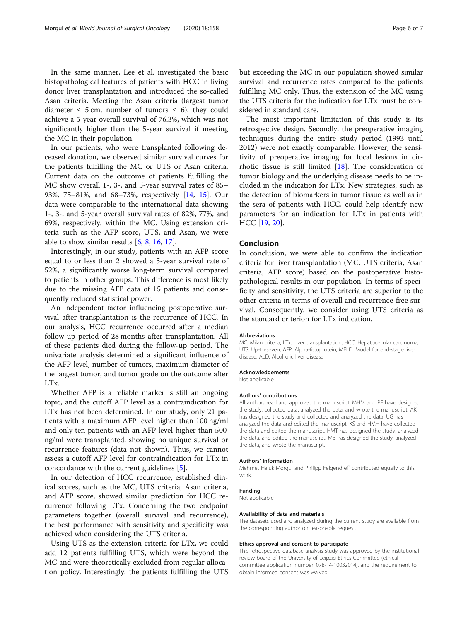In the same manner, Lee et al. investigated the basic histopathological features of patients with HCC in living donor liver transplantation and introduced the so-called Asan criteria. Meeting the Asan criteria (largest tumor diameter  $\leq$  5 cm, number of tumors  $\leq$  6), they could achieve a 5-year overall survival of 76.3%, which was not significantly higher than the 5-year survival if meeting the MC in their population.

In our patients, who were transplanted following deceased donation, we observed similar survival curves for the patients fulfilling the MC or UTS or Asan criteria. Current data on the outcome of patients fulfilling the MC show overall 1-, 3-, and 5-year survival rates of 85– 93%, 75–81%, and 68–73%, respectively [\[14](#page-6-0), [15](#page-6-0)]. Our data were comparable to the international data showing 1-, 3-, and 5-year overall survival rates of 82%, 77%, and 69%, respectively, within the MC. Using extension criteria such as the AFP score, UTS, and Asan, we were able to show similar results [[6,](#page-6-0) [8,](#page-6-0) [16,](#page-6-0) [17\]](#page-6-0).

Interestingly, in our study, patients with an AFP score equal to or less than 2 showed a 5-year survival rate of 52%, a significantly worse long-term survival compared to patients in other groups. This difference is most likely due to the missing AFP data of 15 patients and consequently reduced statistical power.

An independent factor influencing postoperative survival after transplantation is the recurrence of HCC. In our analysis, HCC recurrence occurred after a median follow-up period of 28 months after transplantation. All of these patients died during the follow-up period. The univariate analysis determined a significant influence of the AFP level, number of tumors, maximum diameter of the largest tumor, and tumor grade on the outcome after LTx.

Whether AFP is a reliable marker is still an ongoing topic, and the cutoff AFP level as a contraindication for LTx has not been determined. In our study, only 21 patients with a maximum AFP level higher than 100 ng/ml and only ten patients with an AFP level higher than 500 ng/ml were transplanted, showing no unique survival or recurrence features (data not shown). Thus, we cannot assess a cutoff AFP level for contraindication for LTx in concordance with the current guidelines [\[5](#page-6-0)].

In our detection of HCC recurrence, established clinical scores, such as the MC, UTS criteria, Asan criteria, and AFP score, showed similar prediction for HCC recurrence following LTx. Concerning the two endpoint parameters together (overall survival and recurrence), the best performance with sensitivity and specificity was achieved when considering the UTS criteria.

Using UTS as the extension criteria for LTx, we could add 12 patients fulfilling UTS, which were beyond the MC and were theoretically excluded from regular allocation policy. Interestingly, the patients fulfilling the UTS but exceeding the MC in our population showed similar survival and recurrence rates compared to the patients fulfilling MC only. Thus, the extension of the MC using the UTS criteria for the indication for LTx must be considered in standard care.

The most important limitation of this study is its retrospective design. Secondly, the preoperative imaging techniques during the entire study period (1993 until 2012) were not exactly comparable. However, the sensitivity of preoperative imaging for focal lesions in cirrhotic tissue is still limited [\[18](#page-6-0)]. The consideration of tumor biology and the underlying disease needs to be included in the indication for LTx. New strategies, such as the detection of biomarkers in tumor tissue as well as in the sera of patients with HCC, could help identify new parameters for an indication for LTx in patients with HCC [[19,](#page-6-0) [20](#page-6-0)].

## Conclusion

In conclusion, we were able to confirm the indication criteria for liver transplantation (MC, UTS criteria, Asan criteria, AFP score) based on the postoperative histopathological results in our population. In terms of specificity and sensitivity, the UTS criteria are superior to the other criteria in terms of overall and recurrence-free survival. Consequently, we consider using UTS criteria as the standard criterion for LTx indication.

#### Abbreviations

MC: Milan criteria; LTx: Liver transplantation; HCC: Hepatocellular carcinoma; UTS: Up-to-seven; AFP: Alpha-fetoprotein; MELD: Model for end-stage liver disease; ALD: Alcoholic liver disease

#### Acknowledgements

Not applicable

#### Authors' contributions

All authors read and approved the manuscript. MHM and PF have designed the study, collected data, analyzed the data, and wrote the manuscript. AK has designed the study and collected and analyzed the data. UG has analyzed the data and edited the manuscript. KS and HMH have collected the data and edited the manuscript. HMT has designed the study, analyzed the data, and edited the manuscript. MB has designed the study, analyzed the data, and wrote the manuscript.

#### Authors' information

Mehmet Haluk Morgul and Philipp Felgendreff contributed equally to this work.

#### Funding

Not applicable

## Availability of data and materials

The datasets used and analyzed during the current study are available from the corresponding author on reasonable request.

#### Ethics approval and consent to participate

This retrospective database analysis study was approved by the institutional review board of the University of Leipzig Ethics Committee (ethical committee application number: 078-14-10032014), and the requirement to obtain informed consent was waived.